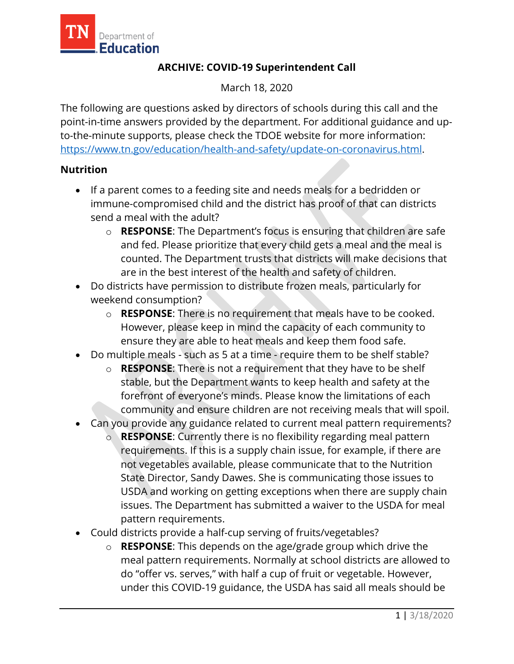

## **ARCHIVE: COVID-19 Superintendent Call**

March 18, 2020

The following are questions asked by directors of schools during this call and the point-in-time answers provided by the department. For additional guidance and upto-the-minute supports, please check the TDOE website for more information: [https://www.tn.gov/education/health-and-safety/update-on-coronavirus.html.](https://www.tn.gov/education/health-and-safety/update-on-coronavirus.html)

## **Nutrition**

- If a parent comes to a feeding site and needs meals for a bedridden or immune-compromised child and the district has proof of that can districts send a meal with the adult?
	- o **RESPONSE**: The Department's focus is ensuring that children are safe and fed. Please prioritize that every child gets a meal and the meal is counted. The Department trusts that districts will make decisions that are in the best interest of the health and safety of children.
- Do districts have permission to distribute frozen meals, particularly for weekend consumption?
	- o **RESPONSE**: There is no requirement that meals have to be cooked. However, please keep in mind the capacity of each community to ensure they are able to heat meals and keep them food safe.
- Do multiple meals such as 5 at a time require them to be shelf stable?
	- o **RESPONSE**: There is not a requirement that they have to be shelf stable, but the Department wants to keep health and safety at the forefront of everyone's minds. Please know the limitations of each community and ensure children are not receiving meals that will spoil.
- Can you provide any guidance related to current meal pattern requirements?
	- o **RESPONSE**: Currently there is no flexibility regarding meal pattern requirements. If this is a supply chain issue, for example, if there are not vegetables available, please communicate that to the Nutrition State Director, Sandy Dawes. She is communicating those issues to USDA and working on getting exceptions when there are supply chain issues. The Department has submitted a waiver to the USDA for meal pattern requirements.
- Could districts provide a half-cup serving of fruits/vegetables?
	- o **RESPONSE**: This depends on the age/grade group which drive the meal pattern requirements. Normally at school districts are allowed to do "offer vs. serves," with half a cup of fruit or vegetable. However, under this COVID-19 guidance, the USDA has said all meals should be